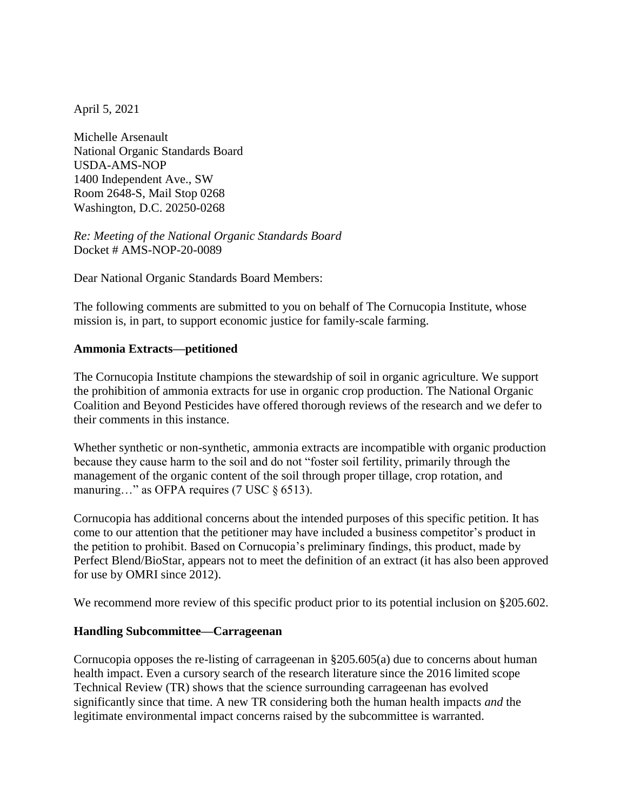April 5, 2021

Michelle Arsenault National Organic Standards Board USDA-AMS-NOP 1400 Independent Ave., SW Room 2648-S, Mail Stop 0268 Washington, D.C. 20250-0268

*Re: Meeting of the National Organic Standards Board* Docket # AMS-NOP-20-0089

Dear National Organic Standards Board Members:

The following comments are submitted to you on behalf of The Cornucopia Institute, whose mission is, in part, to support economic justice for family-scale farming.

## **Ammonia Extracts—petitioned**

The Cornucopia Institute champions the stewardship of soil in organic agriculture. We support the prohibition of ammonia extracts for use in organic crop production. The National Organic Coalition and Beyond Pesticides have offered thorough reviews of the research and we defer to their comments in this instance.

Whether synthetic or non-synthetic, ammonia extracts are incompatible with organic production because they cause harm to the soil and do not "foster soil fertility, primarily through the management of the organic content of the soil through proper tillage, crop rotation, and manuring..." as OFPA requires (7 USC § 6513).

Cornucopia has additional concerns about the intended purposes of this specific petition. It has come to our attention that the petitioner may have included a business competitor's product in the petition to prohibit. Based on Cornucopia's preliminary findings, this product, made by Perfect Blend/BioStar, appears not to meet the definition of an extract (it has also been approved for use by OMRI since 2012).

We recommend more review of this specific product prior to its potential inclusion on §205.602.

## **Handling Subcommittee—Carrageenan**

Cornucopia opposes the re-listing of carrageenan in §205.605(a) due to concerns about human health impact. Even a cursory search of the research literature since the 2016 limited scope Technical Review (TR) shows that the science surrounding carrageenan has evolved significantly since that time. A new TR considering both the human health impacts *and* the legitimate environmental impact concerns raised by the subcommittee is warranted.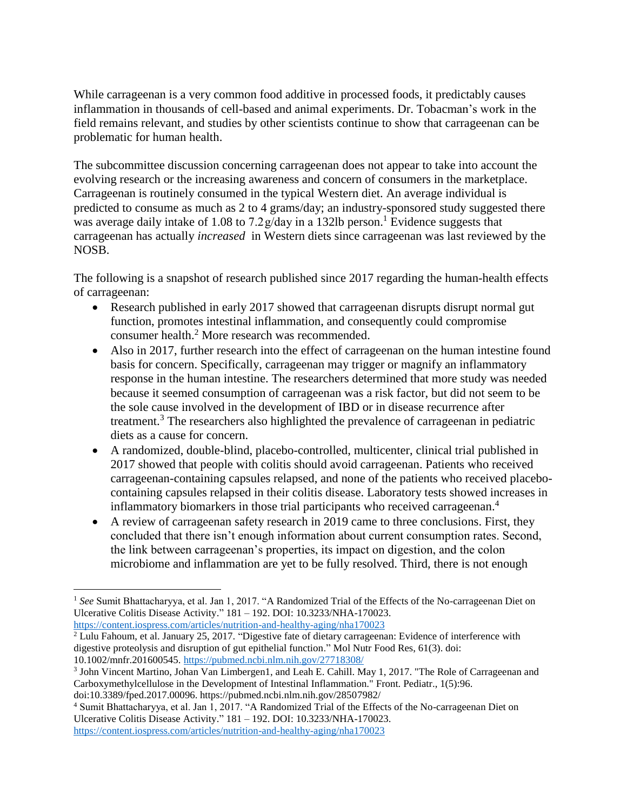While carrageenan is a very common food additive in processed foods, it predictably causes inflammation in thousands of cell-based and animal experiments. Dr. Tobacman's work in the field remains relevant, and studies by other scientists continue to show that carrageenan can be problematic for human health.

The subcommittee discussion concerning carrageenan does not appear to take into account the evolving research or the increasing awareness and concern of consumers in the marketplace. Carrageenan is routinely consumed in the typical Western diet. An average individual is predicted to consume as much as 2 to 4 grams/day; an industry-sponsored study suggested there was average daily intake of 1.08 to 7.2 $\frac{g}{day}$  in a 132lb person.<sup>1</sup> Evidence suggests that carrageenan has actually *increased* in Western diets since carrageenan was last reviewed by the NOSB.

The following is a snapshot of research published since 2017 regarding the human-health effects of carrageenan:

- Research published in early 2017 showed that carrageenan disrupts disrupt normal gut function, promotes intestinal inflammation, and consequently could compromise consumer health.<sup>2</sup> More research was recommended.
- Also in 2017, further research into the effect of carrageenan on the human intestine found basis for concern. Specifically, carrageenan may trigger or magnify an inflammatory response in the human intestine. The researchers determined that more study was needed because it seemed consumption of carrageenan was a risk factor, but did not seem to be the sole cause involved in the development of IBD or in disease recurrence after treatment.<sup>3</sup> The researchers also highlighted the prevalence of carrageenan in pediatric diets as a cause for concern.
- A randomized, double-blind, placebo-controlled, multicenter, clinical trial published in 2017 showed that people with colitis should avoid carrageenan. Patients who received carrageenan-containing capsules relapsed, and none of the patients who received placebocontaining capsules relapsed in their colitis disease. Laboratory tests showed increases in inflammatory biomarkers in those trial participants who received carrageenan.<sup>4</sup>
- A review of carrageenan safety research in 2019 came to three conclusions. First, they concluded that there isn't enough information about current consumption rates. Second, the link between carrageenan's properties, its impact on digestion, and the colon microbiome and inflammation are yet to be fully resolved. Third, there is not enough

<https://content.iospress.com/articles/nutrition-and-healthy-aging/nha170023> <sup>2</sup> Lulu Fahoum, et al. January 25, 2017. "Digestive fate of dietary carrageenan: Evidence of interference with digestive proteolysis and disruption of gut epithelial function." Mol Nutr Food Res, 61(3). doi: 10.1002/mnfr.201600545. <https://pubmed.ncbi.nlm.nih.gov/27718308/>

<sup>4</sup> Sumit Bhattacharyya, et al. Jan 1, 2017. "A Randomized Trial of the Effects of the No-carrageenan Diet on Ulcerative Colitis Disease Activity." 181 – 192. DOI: 10.3233/NHA-170023.

<https://content.iospress.com/articles/nutrition-and-healthy-aging/nha170023>

 $\overline{a}$ <sup>1</sup> See Sumit Bhattacharyya, et al. Jan 1, 2017. "A Randomized Trial of the Effects of the No-carrageenan Diet on Ulcerative Colitis Disease Activity." 181 – 192. DOI: 10.3233/NHA-170023.

<sup>3</sup> John Vincent Martino, Johan Van Limbergen1, and Leah E. Cahill. May 1, 2017. "The Role of Carrageenan and Carboxymethylcellulose in the Development of Intestinal Inflammation." Front. Pediatr., 1(5):96. doi:10.3389/fped.2017.00096. https://pubmed.ncbi.nlm.nih.gov/28507982/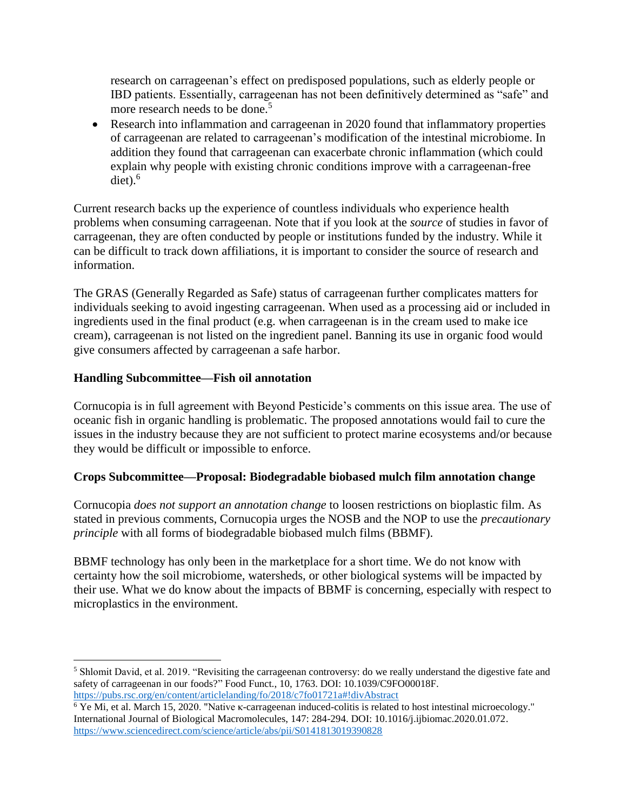research on carrageenan's effect on predisposed populations, such as elderly people or IBD patients. Essentially, carrageenan has not been definitively determined as "safe" and more research needs to be done.<sup>5</sup>

 Research into inflammation and carrageenan in 2020 found that inflammatory properties of carrageenan are related to carrageenan's modification of the intestinal microbiome. In addition they found that carrageenan can exacerbate chronic inflammation (which could explain why people with existing chronic conditions improve with a carrageenan-free  $\text{dist}$ ). $^6$ 

Current research backs up the experience of countless individuals who experience health problems when consuming carrageenan. Note that if you look at the *source* of studies in favor of carrageenan, they are often conducted by people or institutions funded by the industry. While it can be difficult to track down affiliations, it is important to consider the source of research and information.

The GRAS (Generally Regarded as Safe) status of carrageenan further complicates matters for individuals seeking to avoid ingesting carrageenan. When used as a processing aid or included in ingredients used in the final product (e.g. when carrageenan is in the cream used to make ice cream), carrageenan is not listed on the ingredient panel. Banning its use in organic food would give consumers affected by carrageenan a safe harbor.

## **Handling Subcommittee—Fish oil annotation**

 $\overline{a}$ 

Cornucopia is in full agreement with Beyond Pesticide's comments on this issue area. The use of oceanic fish in organic handling is problematic. The proposed annotations would fail to cure the issues in the industry because they are not sufficient to protect marine ecosystems and/or because they would be difficult or impossible to enforce.

## **Crops Subcommittee—Proposal: Biodegradable biobased mulch film annotation change**

Cornucopia *does not support an annotation change* to loosen restrictions on bioplastic film. As stated in previous comments, Cornucopia urges the NOSB and the NOP to use the *precautionary principle* with all forms of biodegradable biobased mulch films (BBMF).

BBMF technology has only been in the marketplace for a short time. We do not know with certainty how the soil microbiome, watersheds, or other biological systems will be impacted by their use. What we do know about the impacts of BBMF is concerning, especially with respect to microplastics in the environment.

<sup>5</sup> Shlomit David, et al. 2019. "Revisiting the carrageenan controversy: do we really understand the digestive fate and safety of carrageenan in our foods?" Food Funct., 10, 1763. DOI: 10.1039/C9FO00018F. <https://pubs.rsc.org/en/content/articlelanding/fo/2018/c7fo01721a#!divAbstract>

<sup>6</sup> Ye Mi, et al. March 15, 2020. "Native κ-carrageenan induced-colitis is related to host intestinal microecology." International Journal of Biological Macromolecules, 147: 284-294. DOI: 10.1016/j.ijbiomac.2020.01.072. <https://www.sciencedirect.com/science/article/abs/pii/S0141813019390828>